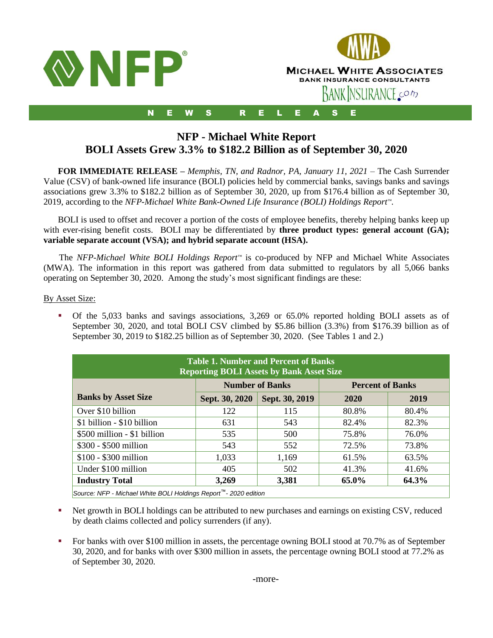

# **NFP - Michael White Report BOLI Assets Grew 3.3% to \$182.2 Billion as of September 30, 2020**

**FOR IMMEDIATE RELEASE –** *Memphis, TN, and Radnor, PA, January 11, 2021* – The Cash Surrender Value (CSV) of bank-owned life insurance (BOLI) policies held by commercial banks, savings banks and savings associations grew 3.3% to \$182.2 billion as of September 30, 2020, up from \$176.4 billion as of September 30, 2019, according to the *NFP-Michael White Bank-Owned Life Insurance (BOLI) Holdings Report™*.

BOLI is used to offset and recover a portion of the costs of employee benefits, thereby helping banks keep up with ever-rising benefit costs. BOLI may be differentiated by **three product types: general account (GA)**; **variable separate account (VSA); and hybrid separate account (HSA).**

 The *NFP-Michael White BOLI Holdings Report™* is co-produced by NFP and Michael White Associates (MWA). The information in this report was gathered from data submitted to regulators by all 5,066 banks operating on September 30, 2020. Among the study's most significant findings are these:

## By Asset Size:

▪ Of the 5,033 banks and savings associations, 3,269 or 65.0% reported holding BOLI assets as of September 30, 2020, and total BOLI CSV climbed by \$5.86 billion (3.3%) from \$176.39 billion as of September 30, 2019 to \$182.25 billion as of September 30, 2020. (See Tables 1 and 2.)

| <b>Table 1. Number and Percent of Banks</b><br><b>Reporting BOLI Assets by Bank Asset Size</b> |       |                         |       |  |  |
|------------------------------------------------------------------------------------------------|-------|-------------------------|-------|--|--|
|                                                                                                |       | <b>Percent of Banks</b> |       |  |  |
| Sept. 30, 2020<br>Sept. 30, 2019<br>2019<br>2020                                               |       |                         |       |  |  |
| 122                                                                                            | 115   | 80.8%                   | 80.4% |  |  |
| 631                                                                                            | 543   | 82.4%                   | 82.3% |  |  |
| 535                                                                                            | 500   | 75.8%                   | 76.0% |  |  |
| 543                                                                                            | 552   | 72.5%                   | 73.8% |  |  |
| 1,033                                                                                          | 1,169 | 61.5%                   | 63.5% |  |  |
| 405                                                                                            | 502   | 41.3%                   | 41.6% |  |  |
| 64.3%<br><b>Industry Total</b><br>3,269<br>3,381<br>65.0%                                      |       |                         |       |  |  |
|                                                                                                |       | <b>Number of Banks</b>  |       |  |  |

*Source: NFP - Michael White BOLI Holdings Report™- 2020 edition*

- Net growth in BOLI holdings can be attributed to new purchases and earnings on existing CSV, reduced by death claims collected and policy surrenders (if any).
- For banks with over \$100 million in assets, the percentage owning BOLI stood at 70.7% as of September 30, 2020, and for banks with over \$300 million in assets, the percentage owning BOLI stood at 77.2% as of September 30, 2020.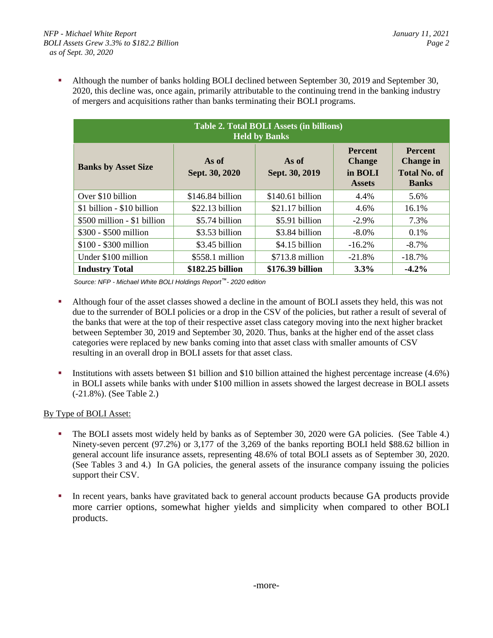Although the number of banks holding BOLI declined between September 30, 2019 and September 30, 2020, this decline was, once again, primarily attributable to the continuing trend in the banking industry of mergers and acquisitions rather than banks terminating their BOLI programs.

| <b>Table 2. Total BOLI Assets (in billions)</b><br><b>Held by Banks</b> |                         |                         |                                                             |                                                                           |  |
|-------------------------------------------------------------------------|-------------------------|-------------------------|-------------------------------------------------------------|---------------------------------------------------------------------------|--|
| <b>Banks by Asset Size</b>                                              | As of<br>Sept. 30, 2020 | As of<br>Sept. 30, 2019 | <b>Percent</b><br><b>Change</b><br>in BOLI<br><b>Assets</b> | <b>Percent</b><br><b>Change in</b><br><b>Total No. of</b><br><b>Banks</b> |  |
| Over \$10 billion                                                       | \$146.84 billion        | \$140.61 billion        | 4.4%                                                        | 5.6%                                                                      |  |
| \$1 billion - \$10 billion                                              | \$22.13 billion         | $$21.17$ billion        | 4.6%                                                        | 16.1%                                                                     |  |
| \$500 million - \$1 billion                                             | \$5.74 billion          | \$5.91 billion          | $-2.9\%$                                                    | 7.3%                                                                      |  |
| \$300 - \$500 million                                                   | \$3.53 billion          | \$3.84 billion          | $-8.0\%$                                                    | 0.1%                                                                      |  |
| \$100 - \$300 million                                                   | \$3.45 billion          | \$4.15 billion          | $-16.2%$                                                    | $-8.7\%$                                                                  |  |
| Under \$100 million                                                     | \$558.1 million         | \$713.8 million         | $-21.8%$                                                    | $-18.7%$                                                                  |  |
| <b>Industry Total</b>                                                   | \$182.25 billion        | \$176.39 billion        | $3.3\%$                                                     | $-4.2\%$                                                                  |  |

*Source: NFP - Michael White BOLI Holdings Report™- 2020 edition*

- Although four of the asset classes showed a decline in the amount of BOLI assets they held, this was not due to the surrender of BOLI policies or a drop in the CSV of the policies, but rather a result of several of the banks that were at the top of their respective asset class category moving into the next higher bracket between September 30, 2019 and September 30, 2020. Thus, banks at the higher end of the asset class categories were replaced by new banks coming into that asset class with smaller amounts of CSV resulting in an overall drop in BOLI assets for that asset class.
- Institutions with assets between \$1 billion and \$10 billion attained the highest percentage increase (4.6%) in BOLI assets while banks with under \$100 million in assets showed the largest decrease in BOLI assets (-21.8%). (See Table 2.)

## By Type of BOLI Asset:

- The BOLI assets most widely held by banks as of September 30, 2020 were GA policies. (See Table 4.) Ninety-seven percent (97.2%) or 3,177 of the 3,269 of the banks reporting BOLI held \$88.62 billion in general account life insurance assets, representing 48.6% of total BOLI assets as of September 30, 2020. (See Tables 3 and 4.) In GA policies, the general assets of the insurance company issuing the policies support their CSV.
- In recent years, banks have gravitated back to general account products because GA products provide more carrier options, somewhat higher yields and simplicity when compared to other BOLI products.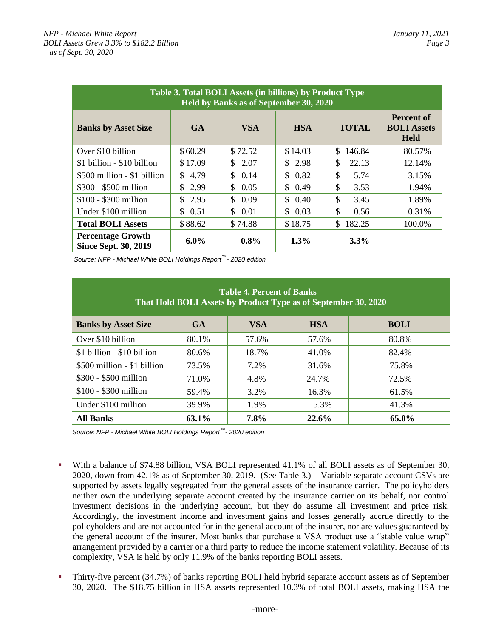| <b>Table 3. Total BOLI Assets (in billions) by Product Type</b><br>Held by Banks as of September 30, 2020 |                        |             |                       |              |                                                        |
|-----------------------------------------------------------------------------------------------------------|------------------------|-------------|-----------------------|--------------|--------------------------------------------------------|
| <b>Banks by Asset Size</b>                                                                                | <b>GA</b>              | <b>VSA</b>  | <b>HSA</b>            | <b>TOTAL</b> | <b>Percent of</b><br><b>BOLI</b> Assets<br><b>Held</b> |
| Over \$10 billion                                                                                         | \$60.29                | \$72.52     | \$14.03               | \$146.84     | 80.57%                                                 |
| \$1 billion - \$10 billion                                                                                | \$17.09                | 2.07<br>\$. | \$2.98                | \$<br>22.13  | 12.14%                                                 |
| \$500 million - \$1 billion                                                                               | 4.79<br>$\mathbb{S}^-$ | 0.14<br>\$  | 0.82<br>$\mathcal{S}$ | \$<br>5.74   | 3.15%                                                  |
| \$300 - \$500 million                                                                                     | \$2.99                 | \$.<br>0.05 | 0.49<br>\$            | \$<br>3.53   | 1.94%                                                  |
| \$100 - \$300 million                                                                                     | \$2.95                 | \$<br>0.09  | \$<br>0.40            | \$<br>3.45   | 1.89%                                                  |
| Under \$100 million                                                                                       | \$0.51                 | \$.<br>0.01 | \$<br>0.03            | \$<br>0.56   | 0.31%                                                  |
| <b>Total BOLI Assets</b>                                                                                  | \$88.62                | \$74.88     | \$18.75               | \$<br>182.25 | 100.0%                                                 |
| <b>Percentage Growth</b><br><b>Since Sept. 30, 2019</b>                                                   | $6.0\%$                | $0.8\%$     | $1.3\%$               | 3.3%         |                                                        |

*Source: NFP - Michael White BOLI Holdings Report™- 2020 edition*

| <b>Table 4. Percent of Banks</b><br>That Hold BOLI Assets by Product Type as of September 30, 2020 |           |            |            |             |
|----------------------------------------------------------------------------------------------------|-----------|------------|------------|-------------|
| <b>Banks by Asset Size</b>                                                                         | <b>GA</b> | <b>VSA</b> | <b>HSA</b> | <b>BOLI</b> |
| Over \$10 billion                                                                                  | 80.1%     | 57.6%      | 57.6%      | 80.8%       |
| \$1 billion - \$10 billion                                                                         | 80.6%     | 18.7%      | 41.0%      | 82.4%       |
| \$500 million - \$1 billion                                                                        | 73.5%     | 7.2%       | 31.6%      | 75.8%       |
| \$300 - \$500 million                                                                              | 71.0%     | 4.8%       | 24.7%      | 72.5%       |
| \$100 - \$300 million                                                                              | 59.4%     | 3.2%       | 16.3%      | 61.5%       |
| Under \$100 million                                                                                | 39.9%     | 1.9%       | 5.3%       | 41.3%       |
| <b>All Banks</b>                                                                                   | 63.1%     | 7.8%       | 22.6%      | 65.0%       |

*Source: NFP - Michael White BOLI Holdings Report™- 2020 edition*

- With a balance of \$74.88 billion, VSA BOLI represented 41.1% of all BOLI assets as of September 30, 2020, down from 42.1% as of September 30, 2019. (See Table 3.) Variable separate account CSVs are supported by assets legally segregated from the general assets of the insurance carrier. The policyholders neither own the underlying separate account created by the insurance carrier on its behalf, nor control investment decisions in the underlying account, but they do assume all investment and price risk. Accordingly, the investment income and investment gains and losses generally accrue directly to the policyholders and are not accounted for in the general account of the insurer, nor are values guaranteed by the general account of the insurer. Most banks that purchase a VSA product use a "stable value wrap" arrangement provided by a carrier or a third party to reduce the income statement volatility. Because of its complexity, VSA is held by only 11.9% of the banks reporting BOLI assets.
- Thirty-five percent (34.7%) of banks reporting BOLI held hybrid separate account assets as of September 30, 2020. The \$18.75 billion in HSA assets represented 10.3% of total BOLI assets, making HSA the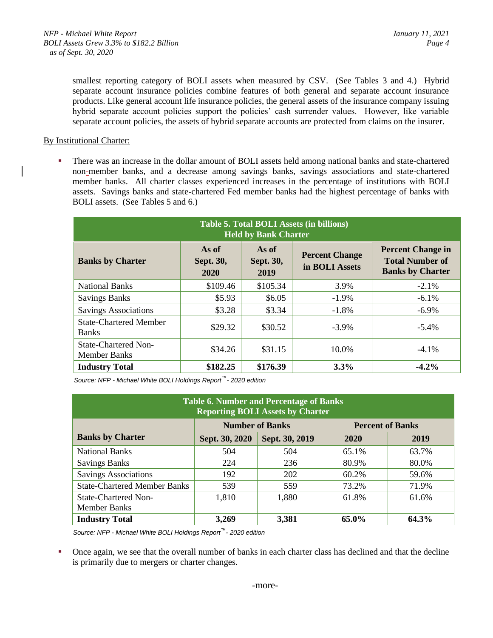smallest reporting category of BOLI assets when measured by CSV. (See Tables 3 and 4.) Hybrid separate account insurance policies combine features of both general and separate account insurance products. Like general account life insurance policies, the general assets of the insurance company issuing hybrid separate account policies support the policies' cash surrender values. However, like variable separate account policies, the assets of hybrid separate accounts are protected from claims on the insurer.

## By Institutional Charter:

There was an increase in the dollar amount of BOLI assets held among national banks and state-chartered non-member banks, and a decrease among savings banks, savings associations and state-chartered member banks. All charter classes experienced increases in the percentage of institutions with BOLI assets. Savings banks and state-chartered Fed member banks had the highest percentage of banks with BOLI assets. (See Tables 5 and 6.)

| <b>Table 5. Total BOLI Assets (in billions)</b><br><b>Held by Bank Charter</b> |                            |                            |                                                |                                                                               |  |
|--------------------------------------------------------------------------------|----------------------------|----------------------------|------------------------------------------------|-------------------------------------------------------------------------------|--|
| <b>Banks by Charter</b>                                                        | As of<br>Sept. 30,<br>2020 | As of<br>Sept. 30,<br>2019 | <b>Percent Change</b><br>in <b>BOLI</b> Assets | <b>Percent Change in</b><br><b>Total Number of</b><br><b>Banks by Charter</b> |  |
| <b>National Banks</b>                                                          | \$109.46                   | \$105.34                   | 3.9%                                           | $-2.1\%$                                                                      |  |
| <b>Savings Banks</b>                                                           | \$5.93                     | \$6.05                     | $-1.9\%$                                       | $-6.1\%$                                                                      |  |
| <b>Savings Associations</b>                                                    | \$3.28                     | \$3.34                     | $-1.8%$                                        | $-6.9\%$                                                                      |  |
| <b>State-Chartered Member</b><br><b>Banks</b>                                  | \$29.32                    | \$30.52                    | $-3.9\%$                                       | $-5.4\%$                                                                      |  |
| <b>State-Chartered Non-</b><br><b>Member Banks</b>                             | \$34.26                    | \$31.15                    | 10.0%                                          | $-4.1\%$                                                                      |  |
| <b>Industry Total</b>                                                          | \$182.25                   | \$176.39                   | $3.3\%$                                        | $-4.2\%$                                                                      |  |

*Source: NFP - Michael White BOLI Holdings Report™- 2020 edition*

| <b>Table 6. Number and Percentage of Banks</b><br><b>Reporting BOLI Assets by Charter</b> |                |                                                   |       |       |  |  |
|-------------------------------------------------------------------------------------------|----------------|---------------------------------------------------|-------|-------|--|--|
|                                                                                           |                | <b>Number of Banks</b><br><b>Percent of Banks</b> |       |       |  |  |
| <b>Banks by Charter</b>                                                                   | Sept. 30, 2020 | Sept. 30, 2019                                    | 2020  | 2019  |  |  |
| <b>National Banks</b>                                                                     | 504            | 504                                               | 65.1% | 63.7% |  |  |
| <b>Savings Banks</b>                                                                      | 224            | 236                                               | 80.9% | 80.0% |  |  |
| <b>Savings Associations</b>                                                               | 192            | 202                                               | 60.2% | 59.6% |  |  |
| <b>State-Chartered Member Banks</b>                                                       | 539            | 559                                               | 73.2% | 71.9% |  |  |
| State-Chartered Non-                                                                      | 1,810          | 1,880                                             | 61.8% | 61.6% |  |  |
| <b>Member Banks</b>                                                                       |                |                                                   |       |       |  |  |
| <b>Industry Total</b><br>64.3%<br>3,269<br>65.0%<br>3,381                                 |                |                                                   |       |       |  |  |

*Source: NFP - Michael White BOLI Holdings Report™- 2020 edition*

• Once again, we see that the overall number of banks in each charter class has declined and that the decline is primarily due to mergers or charter changes.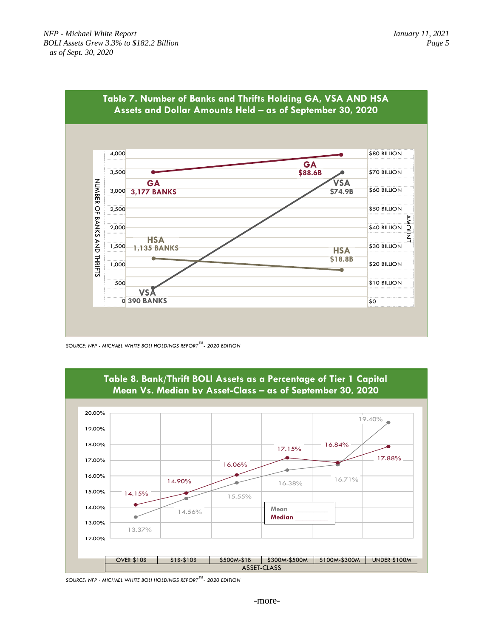

**Table 7. Number of Banks and Thrifts Holding GA, VSA AND HSA** 

*SOURCE: NFP - MICHAEL WHITE BOLI HOLDINGS REPORT™- 2020 EDITION* 



*SOURCE: NFP - MICHAEL WHITE BOLI HOLDINGS REPORT™- 2020 EDITION*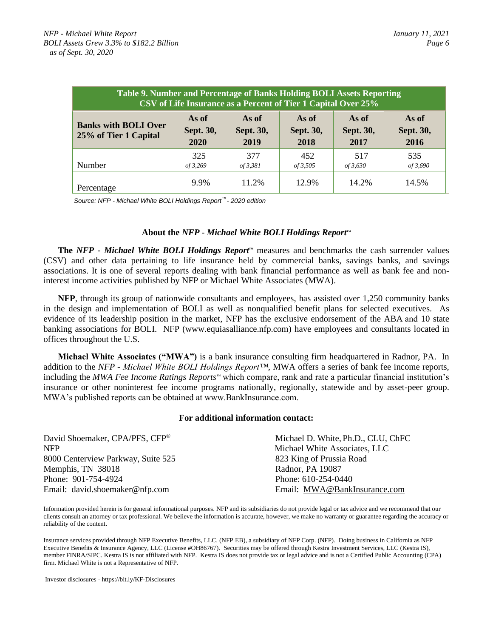| Table 9. Number and Percentage of Banks Holding BOLI Assets Reporting<br>CSV of Life Insurance as a Percent of Tier 1 Capital Over 25% |                            |                            |                            |                            |                            |
|----------------------------------------------------------------------------------------------------------------------------------------|----------------------------|----------------------------|----------------------------|----------------------------|----------------------------|
| <b>Banks with BOLI Over</b><br>25% of Tier 1 Capital                                                                                   | As of<br>Sept. 30,<br>2020 | As of<br>Sept. 30,<br>2019 | As of<br>Sept. 30,<br>2018 | As of<br>Sept. 30,<br>2017 | As of<br>Sept. 30,<br>2016 |
| Number                                                                                                                                 | 325<br>of 3,269            | 377<br>of 3,381            | 452<br>of 3,505            | 517<br><i>of</i> 3,630     | 535<br>of 3,690            |
| Percentage                                                                                                                             | 9.9%                       | 11.2%                      | 12.9%                      | 14.2%                      | 14.5%                      |

*Source: NFP - Michael White BOLI Holdings Report™- 2020 edition*

### **About the** *NFP - Michael White BOLI Holdings Report™*

**The** *NFP - Michael White BOLI Holdings Report™* measures and benchmarks the cash surrender values (CSV) and other data pertaining to life insurance held by commercial banks, savings banks, and savings associations. It is one of several reports dealing with bank financial performance as well as bank fee and noninterest income activities published by NFP or Michael White Associates (MWA).

**NFP**, through its group of nationwide consultants and employees, has assisted over 1,250 community banks in the design and implementation of BOLI as well as nonqualified benefit plans for selected executives. As evidence of its leadership position in the market, NFP has the exclusive endorsement of the ABA and 10 state banking associations for BOLI. NFP (www.equiasalliance.nfp.com) have employees and consultants located in offices throughout the U.S.

**Michael White Associates ("MWA")** is a bank insurance consulting firm headquartered in Radnor, PA. In addition to the *NFP - Michael White BOLI Holdings Report™*, MWA offers a series of bank fee income reports, including the *MWA Fee Income Ratings Reports™* which compare, rank and rate a particular financial institution's insurance or other noninterest fee income programs nationally, regionally, statewide and by asset-peer group. MWA's published reports can be obtained at www.BankInsurance.com.

#### **For additional information contact:**

| David Shoemaker, CPA/PFS, CFP®     | Michael D. White, Ph.D., CLU, ChFC |
|------------------------------------|------------------------------------|
| <b>NFP</b>                         | Michael White Associates, LLC      |
| 8000 Centerview Parkway, Suite 525 | 823 King of Prussia Road           |
| Memphis, TN 38018                  | Radnor, PA 19087                   |
| Phone: 901-754-4924                | Phone: 610-254-0440                |
| Email: david.shoemaker@nfp.com     | Email: MWA@BankInsurance.com       |

Information provided herein is for general informational purposes. NFP and its subsidiaries do not provide legal or tax advice and we recommend that our clients consult an attorney or tax professional. We believe the information is accurate, however, we make no warranty or guarantee regarding the accuracy or reliability of the content.

Insurance services provided through NFP Executive Benefits, LLC. (NFP EB), a subsidiary of NFP Corp. (NFP). Doing business in California as NFP Executive Benefits & Insurance Agency, LLC (License #OH86767). Securities may be offered through Kestra Investment Services, LLC (Kestra IS), member FINRA/SIPC. Kestra IS is not affiliated with NFP. Kestra IS does not provide tax or legal advice and is not a Certified Public Accounting (CPA) firm. Michael White is not a Representative of NFP.